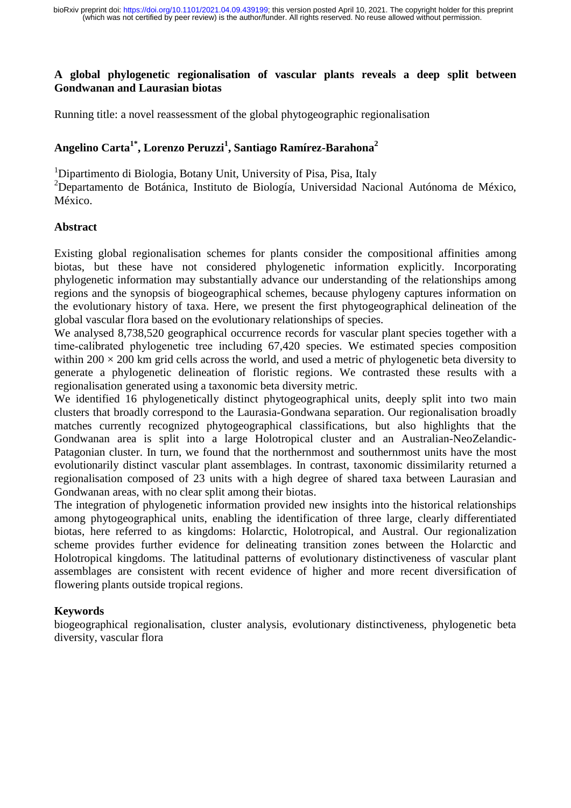# **A global phylogenetic regionalisation of vascular plants reveals a deep split between Gondwanan and Laurasian biotas**

Running title: a novel reassessment of the global phytogeographic regionalisation

# **Angelino Carta1\*, Lorenzo Peruzzi<sup>1</sup> , Santiago Ramírez-Barahona<sup>2</sup>**

<sup>1</sup>Dipartimento di Biologia, Botany Unit, University of Pisa, Pisa, Italy

<sup>2</sup>Departamento de Botánica, Instituto de Biología, Universidad Nacional Autónoma de México, México.

# **Abstract**

Existing global regionalisation schemes for plants consider the compositional affinities among biotas, but these have not considered phylogenetic information explicitly. Incorporating phylogenetic information may substantially advance our understanding of the relationships among regions and the synopsis of biogeographical schemes, because phylogeny captures information on the evolutionary history of taxa. Here, we present the first phytogeographical delineation of the global vascular flora based on the evolutionary relationships of species.

We analysed 8,738,520 geographical occurrence records for vascular plant species together with a time-calibrated phylogenetic tree including 67,420 species. We estimated species composition within  $200 \times 200$  km grid cells across the world, and used a metric of phylogenetic beta diversity to generate a phylogenetic delineation of floristic regions. We contrasted these results with a regionalisation generated using a taxonomic beta diversity metric.

We identified 16 phylogenetically distinct phytogeographical units, deeply split into two main clusters that broadly correspond to the Laurasia-Gondwana separation. Our regionalisation broadly matches currently recognized phytogeographical classifications, but also highlights that the Gondwanan area is split into a large Holotropical cluster and an Australian-NeoZelandic-Patagonian cluster. In turn, we found that the northernmost and southernmost units have the most evolutionarily distinct vascular plant assemblages. In contrast, taxonomic dissimilarity returned a regionalisation composed of 23 units with a high degree of shared taxa between Laurasian and Gondwanan areas, with no clear split among their biotas.

The integration of phylogenetic information provided new insights into the historical relationships among phytogeographical units, enabling the identification of three large, clearly differentiated biotas, here referred to as kingdoms: Holarctic, Holotropical, and Austral. Our regionalization scheme provides further evidence for delineating transition zones between the Holarctic and Holotropical kingdoms. The latitudinal patterns of evolutionary distinctiveness of vascular plant assemblages are consistent with recent evidence of higher and more recent diversification of flowering plants outside tropical regions.

# **Keywords**

biogeographical regionalisation, cluster analysis, evolutionary distinctiveness, phylogenetic beta diversity, vascular flora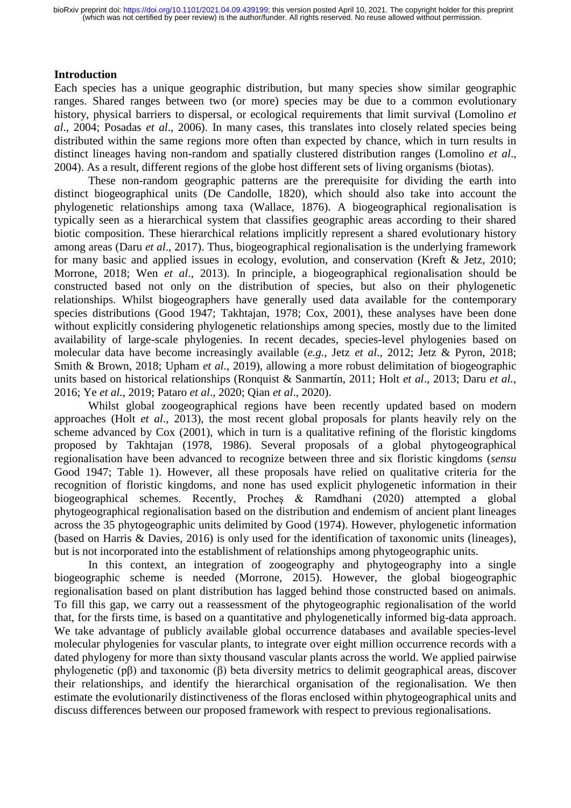# **Introduction**

Each species has a unique geographic distribution, but many species show similar geographic ranges. Shared ranges between two (or more) species may be due to a common evolutionary history, physical barriers to dispersal, or ecological requirements that limit survival (Lomolino *et al*., 2004; Posadas *et al*., 2006). In many cases, this translates into closely related species being distributed within the same regions more often than expected by chance, which in turn results in distinct lineages having non-random and spatially clustered distribution ranges (Lomolino *et al*., 2004). As a result, different regions of the globe host different sets of living organisms (biotas).

These non-random geographic patterns are the prerequisite for dividing the earth into distinct biogeographical units (De Candolle, 1820), which should also take into account the phylogenetic relationships among taxa (Wallace, 1876). A biogeographical regionalisation is typically seen as a hierarchical system that classifies geographic areas according to their shared biotic composition. These hierarchical relations implicitly represent a shared evolutionary history among areas (Daru *et al*., 2017). Thus, biogeographical regionalisation is the underlying framework for many basic and applied issues in ecology, evolution, and conservation (Kreft & Jetz, 2010; Morrone, 2018; Wen *et al*., 2013). In principle, a biogeographical regionalisation should be constructed based not only on the distribution of species, but also on their phylogenetic relationships. Whilst biogeographers have generally used data available for the contemporary species distributions (Good 1947; Takhtajan, 1978; Cox, 2001), these analyses have been done without explicitly considering phylogenetic relationships among species, mostly due to the limited availability of large-scale phylogenies. In recent decades, species-level phylogenies based on molecular data have become increasingly available (*e.g.*, Jetz *et al*., 2012; Jetz & Pyron, 2018; Smith & Brown, 2018; Upham *et al*., 2019), allowing a more robust delimitation of biogeographic units based on historical relationships (Ronquist & Sanmartín, 2011; Holt *et al*., 2013; Daru *et al.*, 2016; Ye *et al.*, 2019; Pataro *et al*., 2020; Qian *et al*., 2020).

Whilst global zoogeographical regions have been recently updated based on modern approaches (Holt *et al*., 2013), the most recent global proposals for plants heavily rely on the scheme advanced by Cox (2001), which in turn is a qualitative refining of the floristic kingdoms proposed by Takhtajan (1978, 1986). Several proposals of a global phytogeographical regionalisation have been advanced to recognize between three and six floristic kingdoms (*sensu* Good 1947; Table 1). However, all these proposals have relied on qualitative criteria for the recognition of floristic kingdoms, and none has used explicit phylogenetic information in their biogeographical schemes. Recently, Procheş & Ramdhani (2020) attempted a global phytogeographical regionalisation based on the distribution and endemism of ancient plant lineages across the 35 phytogeographic units delimited by Good (1974). However, phylogenetic information (based on Harris & Davies, 2016) is only used for the identification of taxonomic units (lineages), but is not incorporated into the establishment of relationships among phytogeographic units.

In this context, an integration of zoogeography and phytogeography into a single biogeographic scheme is needed (Morrone, 2015). However, the global biogeographic regionalisation based on plant distribution has lagged behind those constructed based on animals. To fill this gap, we carry out a reassessment of the phytogeographic regionalisation of the world that, for the firsts time, is based on a quantitative and phylogenetically informed big-data approach. We take advantage of publicly available global occurrence databases and available species-level molecular phylogenies for vascular plants, to integrate over eight million occurrence records with a dated phylogeny for more than sixty thousand vascular plants across the world. We applied pairwise phylogenetic (pβ) and taxonomic (β) beta diversity metrics to delimit geographical areas, discover their relationships, and identify the hierarchical organisation of the regionalisation. We then estimate the evolutionarily distinctiveness of the floras enclosed within phytogeographical units and discuss differences between our proposed framework with respect to previous regionalisations.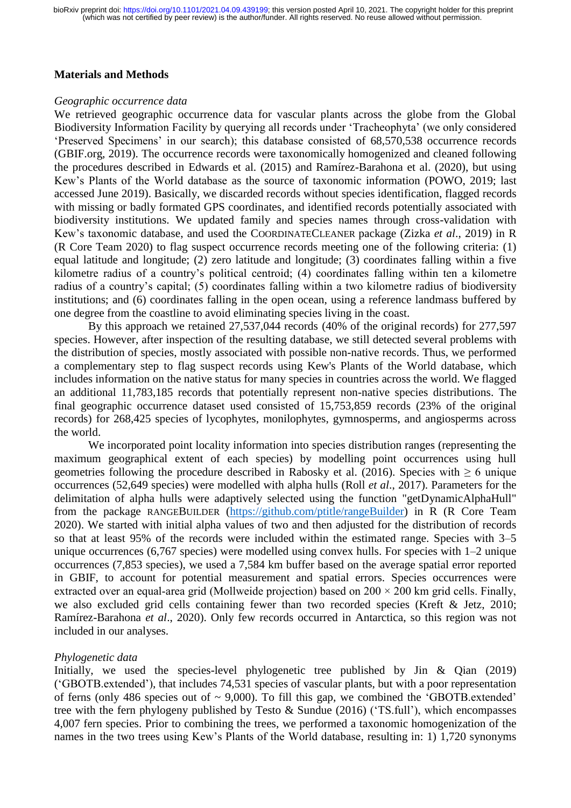## **Materials and Methods**

#### *Geographic occurrence data*

We retrieved geographic occurrence data for vascular plants across the globe from the Global Biodiversity Information Facility by querying all records under 'Tracheophyta' (we only considered 'Preserved Specimens' in our search); this database consisted of 68,570,538 occurrence records (GBIF.org, 2019). The occurrence records were taxonomically homogenized and cleaned following the procedures described in Edwards et al. (2015) and Ramírez-Barahona et al. (2020), but using Kew's Plants of the World database as the source of taxonomic information (POWO, 2019; last accessed June 2019). Basically, we discarded records without species identification, flagged records with missing or badly formated GPS coordinates, and identified records potentially associated with biodiversity institutions. We updated family and species names through cross-validation with Kew's taxonomic database, and used the COORDINATECLEANER package (Zizka *et al*., 2019) in R (R Core Team 2020) to flag suspect occurrence records meeting one of the following criteria: (1) equal latitude and longitude; (2) zero latitude and longitude; (3) coordinates falling within a five kilometre radius of a country's political centroid; (4) coordinates falling within ten a kilometre radius of a country's capital; (5) coordinates falling within a two kilometre radius of biodiversity institutions; and (6) coordinates falling in the open ocean, using a reference landmass buffered by one degree from the coastline to avoid eliminating species living in the coast.

By this approach we retained 27,537,044 records (40% of the original records) for 277,597 species. However, after inspection of the resulting database, we still detected several problems with the distribution of species, mostly associated with possible non-native records. Thus, we performed a complementary step to flag suspect records using Kew's Plants of the World database, which includes information on the native status for many species in countries across the world. We flagged an additional 11,783,185 records that potentially represent non-native species distributions. The final geographic occurrence dataset used consisted of 15,753,859 records (23% of the original records) for 268,425 species of lycophytes, monilophytes, gymnosperms, and angiosperms across the world.

We incorporated point locality information into species distribution ranges (representing the maximum geographical extent of each species) by modelling point occurrences using hull geometries following the procedure described in Rabosky et al. (2016). Species with  $\geq 6$  unique occurrences (52,649 species) were modelled with alpha hulls (Roll *et al*., 2017). Parameters for the delimitation of alpha hulls were adaptively selected using the function "getDynamicAlphaHull" from the package RANGEBUILDER [\(https://github.com/ptitle/rangeBuilder\)](https://github.com/ptitle/rangeBuilder) in R (R Core Team 2020). We started with initial alpha values of two and then adjusted for the distribution of records so that at least 95% of the records were included within the estimated range. Species with 3–5 unique occurrences (6,767 species) were modelled using convex hulls. For species with 1–2 unique occurrences (7,853 species), we used a 7,584 km buffer based on the average spatial error reported in GBIF, to account for potential measurement and spatial errors. Species occurrences were extracted over an equal-area grid (Mollweide projection) based on  $200 \times 200$  km grid cells. Finally, we also excluded grid cells containing fewer than two recorded species (Kreft & Jetz, 2010; Ramírez-Barahona *et al*., 2020). Only few records occurred in Antarctica, so this region was not included in our analyses.

## *Phylogenetic data*

Initially, we used the species-level phylogenetic tree published by Jin & Qian (2019) ('GBOTB.extended'), that includes 74,531 species of vascular plants, but with a poor representation of ferns (only 486 species out of  $\sim$  9,000). To fill this gap, we combined the 'GBOTB. extended' tree with the fern phylogeny published by Testo & Sundue (2016) ('TS.full'), which encompasses 4,007 fern species. Prior to combining the trees, we performed a taxonomic homogenization of the names in the two trees using Kew's Plants of the World database, resulting in: 1) 1,720 synonyms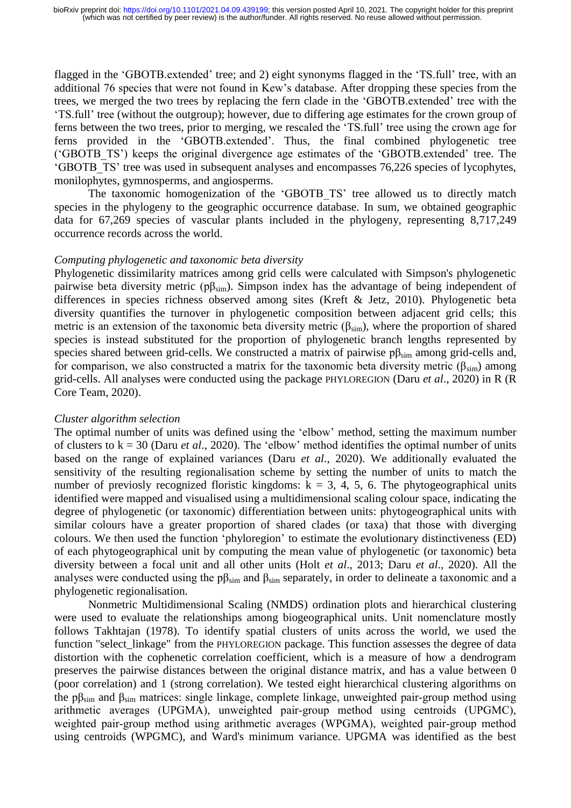flagged in the 'GBOTB.extended' tree; and 2) eight synonyms flagged in the 'TS.full' tree, with an additional 76 species that were not found in Kew's database. After dropping these species from the trees, we merged the two trees by replacing the fern clade in the 'GBOTB.extended' tree with the 'TS.full' tree (without the outgroup); however, due to differing age estimates for the crown group of ferns between the two trees, prior to merging, we rescaled the 'TS.full' tree using the crown age for ferns provided in the 'GBOTB.extended'. Thus, the final combined phylogenetic tree ('GBOTB\_TS') keeps the original divergence age estimates of the 'GBOTB.extended' tree. The 'GBOTB\_TS' tree was used in subsequent analyses and encompasses 76,226 species of lycophytes, monilophytes, gymnosperms, and angiosperms.

The taxonomic homogenization of the 'GBOTB TS' tree allowed us to directly match species in the phylogeny to the geographic occurrence database. In sum, we obtained geographic data for 67,269 species of vascular plants included in the phylogeny, representing 8,717,249 occurrence records across the world.

## *Computing phylogenetic and taxonomic beta diversity*

Phylogenetic dissimilarity matrices among grid cells were calculated with Simpson's phylogenetic pairwise beta diversity metric ( $p\beta_{sim}$ ). Simpson index has the advantage of being independent of differences in species richness observed among sites (Kreft & Jetz, 2010). Phylogenetic beta diversity quantifies the turnover in phylogenetic composition between adjacent grid cells; this metric is an extension of the taxonomic beta diversity metric ( $\beta_{sim}$ ), where the proportion of shared species is instead substituted for the proportion of phylogenetic branch lengths represented by species shared between grid-cells. We constructed a matrix of pairwise  $p\beta_{sim}$  among grid-cells and, for comparison, we also constructed a matrix for the taxonomic beta diversity metric ( $\beta_{sim}$ ) among grid-cells. All analyses were conducted using the package PHYLOREGION (Daru *et al*., 2020) in R (R Core Team, 2020).

## *Cluster algorithm selection*

The optimal number of units was defined using the 'elbow' method, setting the maximum number of clusters to k = 30 (Daru *et al*., 2020). The 'elbow' method identifies the optimal number of units based on the range of explained variances (Daru *et al*., 2020). We additionally evaluated the sensitivity of the resulting regionalisation scheme by setting the number of units to match the number of previosly recognized floristic kingdoms:  $k = 3, 4, 5, 6$ . The phytogeographical units identified were mapped and visualised using a multidimensional scaling colour space, indicating the degree of phylogenetic (or taxonomic) differentiation between units: phytogeographical units with similar colours have a greater proportion of shared clades (or taxa) that those with diverging colours. We then used the function 'phyloregion' to estimate the evolutionary distinctiveness (ED) of each phytogeographical unit by computing the mean value of phylogenetic (or taxonomic) beta diversity between a focal unit and all other units (Holt *et al*., 2013; Daru *et al*., 2020). All the analyses were conducted using the  $p\beta_{sim}$  and  $\beta_{sim}$  separately, in order to delineate a taxonomic and a phylogenetic regionalisation.

Nonmetric Multidimensional Scaling (NMDS) ordination plots and hierarchical clustering were used to evaluate the relationships among biogeographical units. Unit nomenclature mostly follows Takhtajan (1978). To identify spatial clusters of units across the world, we used the function "select linkage" from the PHYLOREGION package. This function assesses the degree of data distortion with the cophenetic correlation coefficient, which is a measure of how a dendrogram preserves the pairwise distances between the original distance matrix, and has a value between 0 (poor correlation) and 1 (strong correlation). We tested eight hierarchical clustering algorithms on the p $\beta_{sim}$  and  $\beta_{sim}$  matrices: single linkage, complete linkage, unweighted pair-group method using arithmetic averages (UPGMA), unweighted pair‐group method using centroids (UPGMC), weighted pair‐group method using arithmetic averages (WPGMA), weighted pair‐group method using centroids (WPGMC), and Ward's minimum variance. UPGMA was identified as the best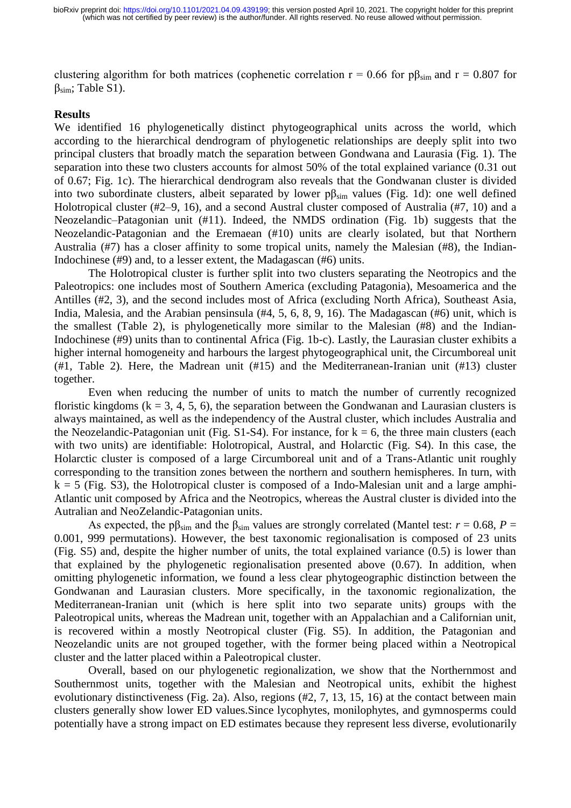clustering algorithm for both matrices (cophenetic correlation  $r = 0.66$  for  $p\beta_{sim}$  and  $r = 0.807$  for βsim; Table S1).

#### **Results**

We identified 16 phylogenetically distinct phytogeographical units across the world, which according to the hierarchical dendrogram of phylogenetic relationships are deeply split into two principal clusters that broadly match the separation between Gondwana and Laurasia (Fig. 1). The separation into these two clusters accounts for almost 50% of the total explained variance (0.31 out of 0.67; Fig. 1c). The hierarchical dendrogram also reveals that the Gondwanan cluster is divided into two subordinate clusters, albeit separated by lower  $p_{sim}$  values (Fig. 1d): one well defined Holotropical cluster (#2–9, 16), and a second Austral cluster composed of Australia (#7, 10) and a Neozelandic–Patagonian unit (#11). Indeed, the NMDS ordination (Fig. 1b) suggests that the Neozelandic-Patagonian and the Eremaean (#10) units are clearly isolated, but that Northern Australia (#7) has a closer affinity to some tropical units, namely the Malesian (#8), the Indian-Indochinese (#9) and, to a lesser extent, the Madagascan (#6) units.

The Holotropical cluster is further split into two clusters separating the Neotropics and the Paleotropics: one includes most of Southern America (excluding Patagonia), Mesoamerica and the Antilles (#2, 3), and the second includes most of Africa (excluding North Africa), Southeast Asia, India, Malesia, and the Arabian pensinsula (#4, 5, 6, 8, 9, 16). The Madagascan (#6) unit, which is the smallest (Table 2), is phylogenetically more similar to the Malesian (#8) and the Indian-Indochinese (#9) units than to continental Africa (Fig. 1b-c). Lastly, the Laurasian cluster exhibits a higher internal homogeneity and harbours the largest phytogeographical unit, the Circumboreal unit (#1, Table 2). Here, the Madrean unit (#15) and the Mediterranean-Iranian unit (#13) cluster together.

Even when reducing the number of units to match the number of currently recognized floristic kingdoms ( $k = 3, 4, 5, 6$ ), the separation between the Gondwanan and Laurasian clusters is always maintained, as well as the independency of the Austral cluster, which includes Australia and the Neozelandic-Patagonian unit (Fig.  $S1-S4$ ). For instance, for  $k = 6$ , the three main clusters (each with two units) are identifiable: Holotropical, Austral, and Holarctic (Fig. S4). In this case, the Holarctic cluster is composed of a large Circumboreal unit and of a Trans-Atlantic unit roughly corresponding to the transition zones between the northern and southern hemispheres. In turn, with  $k = 5$  (Fig. S3), the Holotropical cluster is composed of a Indo-Malesian unit and a large amphi-Atlantic unit composed by Africa and the Neotropics, whereas the Austral cluster is divided into the Autralian and NeoZelandic-Patagonian units.

As expected, the p $\beta_{sim}$  and the  $\beta_{sim}$  values are strongly correlated (Mantel test:  $r = 0.68$ ,  $P =$ 0.001, 999 permutations). However, the best taxonomic regionalisation is composed of 23 units (Fig. S5) and, despite the higher number of units, the total explained variance (0.5) is lower than that explained by the phylogenetic regionalisation presented above (0.67). In addition, when omitting phylogenetic information, we found a less clear phytogeographic distinction between the Gondwanan and Laurasian clusters. More specifically, in the taxonomic regionalization, the Mediterranean-Iranian unit (which is here split into two separate units) groups with the Paleotropical units, whereas the Madrean unit, together with an Appalachian and a Californian unit, is recovered within a mostly Neotropical cluster (Fig. S5). In addition, the Patagonian and Neozelandic units are not grouped together, with the former being placed within a Neotropical cluster and the latter placed within a Paleotropical cluster.

Overall, based on our phylogenetic regionalization, we show that the Northernmost and Southernmost units, together with the Malesian and Neotropical units, exhibit the highest evolutionary distinctiveness (Fig. 2a). Also, regions (#2, 7, 13, 15, 16) at the contact between main clusters generally show lower ED values.Since lycophytes, monilophytes, and gymnosperms could potentially have a strong impact on ED estimates because they represent less diverse, evolutionarily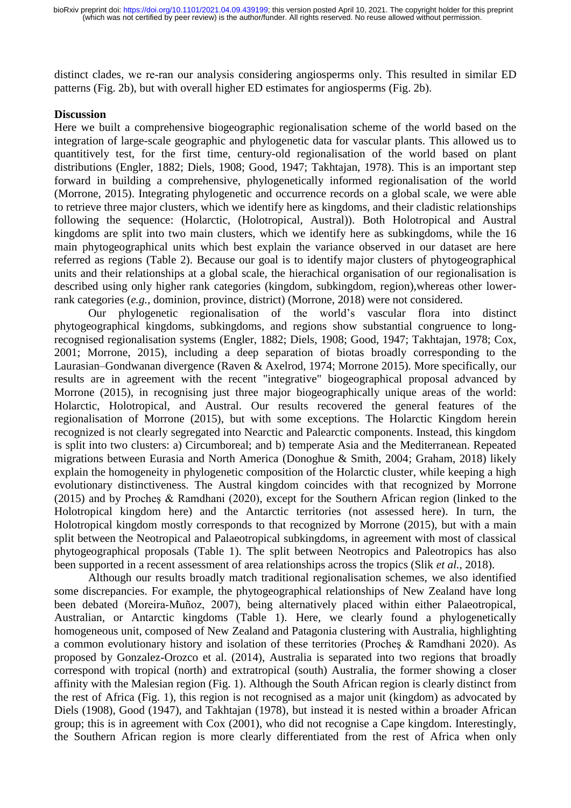distinct clades, we re‐ran our analysis considering angiosperms only. This resulted in similar ED patterns (Fig. 2b), but with overall higher ED estimates for angiosperms (Fig. 2b).

#### **Discussion**

Here we built a comprehensive biogeographic regionalisation scheme of the world based on the integration of large-scale geographic and phylogenetic data for vascular plants. This allowed us to quantitively test, for the first time, century-old regionalisation of the world based on plant distributions (Engler, 1882; Diels, 1908; Good, 1947; Takhtajan, 1978). This is an important step forward in building a comprehensive, phylogenetically informed regionalisation of the world (Morrone, 2015). Integrating phylogenetic and occurrence records on a global scale, we were able to retrieve three major clusters, which we identify here as kingdoms, and their cladistic relationships following the sequence: (Holarctic, (Holotropical, Austral)). Both Holotropical and Austral kingdoms are split into two main clusters, which we identify here as subkingdoms, while the 16 main phytogeographical units which best explain the variance observed in our dataset are here referred as regions (Table 2). Because our goal is to identify major clusters of phytogeographical units and their relationships at a global scale, the hierachical organisation of our regionalisation is described using only higher rank categories (kingdom, subkingdom, region),whereas other lowerrank categories (*e.g.,* dominion, province, district) (Morrone, 2018) were not considered.

Our phylogenetic regionalisation of the world's vascular flora into distinct phytogeographical kingdoms, subkingdoms, and regions show substantial congruence to longrecognised regionalisation systems (Engler, 1882; Diels, 1908; Good, 1947; Takhtajan, 1978; Cox, 2001; Morrone, 2015), including a deep separation of biotas broadly corresponding to the Laurasian–Gondwanan divergence (Raven & Axelrod, 1974; Morrone 2015). More specifically, our results are in agreement with the recent "integrative" biogeographical proposal advanced by Morrone (2015), in recognising just three major biogeographically unique areas of the world: Holarctic, Holotropical, and Austral. Our results recovered the general features of the regionalisation of Morrone (2015), but with some exceptions. The Holarctic Kingdom herein recognized is not clearly segregated into Nearctic and Palearctic components. Instead, this kingdom is split into two clusters: a) Circumboreal; and b) temperate Asia and the Mediterranean. Repeated migrations between Eurasia and North America (Donoghue & Smith, 2004; Graham, 2018) likely explain the homogeneity in phylogenetic composition of the Holarctic cluster, while keeping a high evolutionary distinctiveness. The Austral kingdom coincides with that recognized by Morrone (2015) and by Procheş & Ramdhani (2020), except for the Southern African region (linked to the Holotropical kingdom here) and the Antarctic territories (not assessed here). In turn, the Holotropical kingdom mostly corresponds to that recognized by Morrone (2015), but with a main split between the Neotropical and Palaeotropical subkingdoms, in agreement with most of classical phytogeographical proposals (Table 1). The split between Neotropics and Paleotropics has also been supported in a recent assessment of area relationships across the tropics (Slik *et al.*, 2018).

Although our results broadly match traditional regionalisation schemes, we also identified some discrepancies. For example, the phytogeographical relationships of New Zealand have long been debated (Moreira‐Muñoz, 2007), being alternatively placed within either Palaeotropical, Australian, or Antarctic kingdoms (Table 1). Here, we clearly found a phylogenetically homogeneous unit, composed of New Zealand and Patagonia clustering with Australia, highlighting a common evolutionary history and isolation of these territories (Procheş & Ramdhani 2020). As proposed by Gonzalez-Orozco et al. (2014), Australia is separated into two regions that broadly correspond with tropical (north) and extratropical (south) Australia, the former showing a closer affinity with the Malesian region (Fig. 1). Although the South African region is clearly distinct from the rest of Africa (Fig. 1), this region is not recognised as a major unit (kingdom) as advocated by Diels (1908), Good (1947), and Takhtajan (1978), but instead it is nested within a broader African group; this is in agreement with Cox (2001), who did not recognise a Cape kingdom. Interestingly, the Southern African region is more clearly differentiated from the rest of Africa when only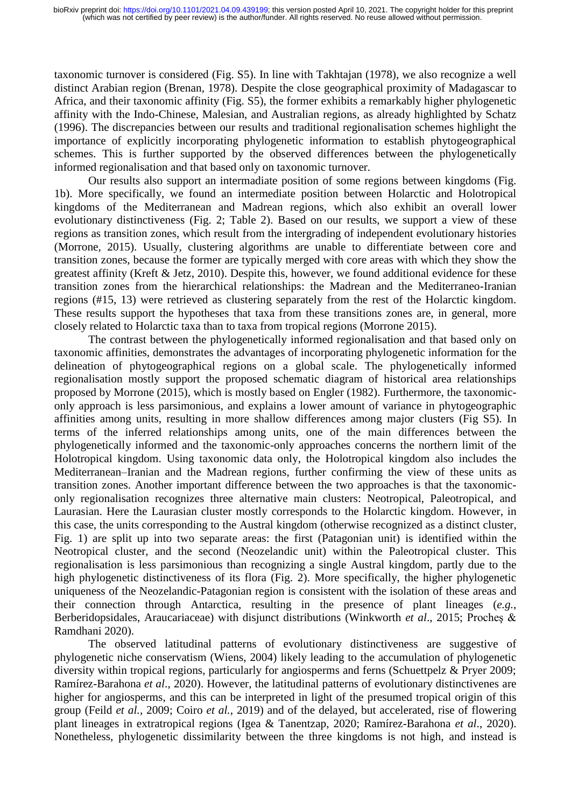taxonomic turnover is considered (Fig. S5). In line with Takhtajan (1978), we also recognize a well distinct Arabian region (Brenan, 1978). Despite the close geographical proximity of Madagascar to Africa, and their taxonomic affinity (Fig. S5), the former exhibits a remarkably higher phylogenetic affinity with the Indo-Chinese, Malesian, and Australian regions, as already highlighted by Schatz (1996). The discrepancies between our results and traditional regionalisation schemes highlight the importance of explicitly incorporating phylogenetic information to establish phytogeographical schemes. This is further supported by the observed differences between the phylogenetically informed regionalisation and that based only on taxonomic turnover.

Our results also support an intermadiate position of some regions between kingdoms (Fig. 1b). More specifically, we found an intermediate position between Holarctic and Holotropical kingdoms of the Mediterranean and Madrean regions, which also exhibit an overall lower evolutionary distinctiveness (Fig. 2; Table 2). Based on our results, we support a view of these regions as transition zones, which result from the intergrading of independent evolutionary histories (Morrone, 2015). Usually, clustering algorithms are unable to differentiate between core and transition zones, because the former are typically merged with core areas with which they show the greatest affinity (Kreft & Jetz, 2010). Despite this, however, we found additional evidence for these transition zones from the hierarchical relationships: the Madrean and the Mediterraneo-Iranian regions (#15, 13) were retrieved as clustering separately from the rest of the Holarctic kingdom. These results support the hypotheses that taxa from these transitions zones are, in general, more closely related to Holarctic taxa than to taxa from tropical regions (Morrone 2015).

The contrast between the phylogenetically informed regionalisation and that based only on taxonomic affinities, demonstrates the advantages of incorporating phylogenetic information for the delineation of phytogeographical regions on a global scale. The phylogenetically informed regionalisation mostly support the proposed schematic diagram of historical area relationships proposed by Morrone (2015), which is mostly based on Engler (1982). Furthermore, the taxonomiconly approach is less parsimonious, and explains a lower amount of variance in phytogeographic affinities among units, resulting in more shallow differences among major clusters (Fig S5). In terms of the inferred relationships among units, one of the main differences between the phylogenetically informed and the taxonomic-only approaches concerns the northern limit of the Holotropical kingdom. Using taxonomic data only, the Holotropical kingdom also includes the Mediterranean–Iranian and the Madrean regions, further confirming the view of these units as transition zones. Another important difference between the two approaches is that the taxonomiconly regionalisation recognizes three alternative main clusters: Neotropical, Paleotropical, and Laurasian. Here the Laurasian cluster mostly corresponds to the Holarctic kingdom. However, in this case, the units corresponding to the Austral kingdom (otherwise recognized as a distinct cluster, Fig. 1) are split up into two separate areas: the first (Patagonian unit) is identified within the Neotropical cluster, and the second (Neozelandic unit) within the Paleotropical cluster. This regionalisation is less parsimonious than recognizing a single Austral kingdom, partly due to the high phylogenetic distinctiveness of its flora (Fig. 2). More specifically, the higher phylogenetic uniqueness of the Neozelandic-Patagonian region is consistent with the isolation of these areas and their connection through Antarctica, resulting in the presence of plant lineages (*e.g.*, Berberidopsidales, Araucariaceae) with disjunct distributions (Winkworth *et al*., 2015; Procheş & Ramdhani 2020).

The observed latitudinal patterns of evolutionary distinctiveness are suggestive of phylogenetic niche conservatism (Wiens, 2004) likely leading to the accumulation of phylogenetic diversity within tropical regions, particularly for angiosperms and ferns (Schuettpelz & Pryer 2009; Ramírez-Barahona *et al*., 2020). However, the latitudinal patterns of evolutionary distinctivenes are higher for angiosperms, and this can be interpreted in light of the presumed tropical origin of this group (Feild *et al.*, 2009; Coiro *et al.*, 2019) and of the delayed, but accelerated, rise of flowering plant lineages in extratropical regions (Igea & Tanentzap, 2020; Ramírez-Barahona *et al*., 2020). Nonetheless, phylogenetic dissimilarity between the three kingdoms is not high, and instead is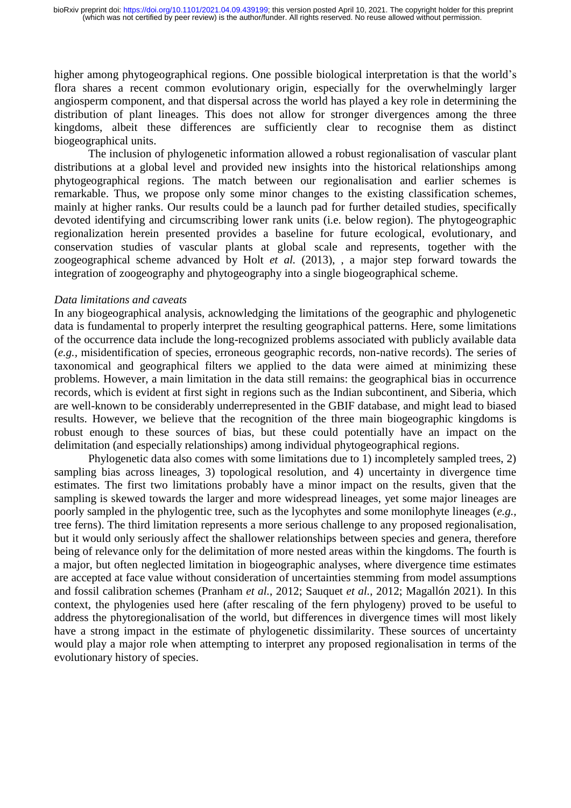higher among phytogeographical regions. One possible biological interpretation is that the world's flora shares a recent common evolutionary origin, especially for the overwhelmingly larger angiosperm component, and that dispersal across the world has played a key role in determining the distribution of plant lineages. This does not allow for stronger divergences among the three kingdoms, albeit these differences are sufficiently clear to recognise them as distinct biogeographical units.

The inclusion of phylogenetic information allowed a robust regionalisation of vascular plant distributions at a global level and provided new insights into the historical relationships among phytogeographical regions. The match between our regionalisation and earlier schemes is remarkable. Thus, we propose only some minor changes to the existing classification schemes, mainly at higher ranks. Our results could be a launch pad for further detailed studies, specifically devoted identifying and circumscribing lower rank units (i.e. below region). The phytogeographic regionalization herein presented provides a baseline for future ecological, evolutionary, and conservation studies of vascular plants at global scale and represents, together with the zoogeographical scheme advanced by Holt *et al.* (2013), , a major step forward towards the integration of zoogeography and phytogeography into a single biogeographical scheme.

#### *Data limitations and caveats*

In any biogeographical analysis, acknowledging the limitations of the geographic and phylogenetic data is fundamental to properly interpret the resulting geographical patterns. Here, some limitations of the occurrence data include the long-recognized problems associated with publicly available data (*e.g.,* misidentification of species, erroneous geographic records, non-native records). The series of taxonomical and geographical filters we applied to the data were aimed at minimizing these problems. However, a main limitation in the data still remains: the geographical bias in occurrence records, which is evident at first sight in regions such as the Indian subcontinent, and Siberia, which are well-known to be considerably underrepresented in the GBIF database, and might lead to biased results. However, we believe that the recognition of the three main biogeographic kingdoms is robust enough to these sources of bias, but these could potentially have an impact on the delimitation (and especially relationships) among individual phytogeographical regions.

Phylogenetic data also comes with some limitations due to 1) incompletely sampled trees, 2) sampling bias across lineages, 3) topological resolution, and 4) uncertainty in divergence time estimates. The first two limitations probably have a minor impact on the results, given that the sampling is skewed towards the larger and more widespread lineages, yet some major lineages are poorly sampled in the phylogentic tree, such as the lycophytes and some monilophyte lineages (*e.g.,*  tree ferns). The third limitation represents a more serious challenge to any proposed regionalisation, but it would only seriously affect the shallower relationships between species and genera, therefore being of relevance only for the delimitation of more nested areas within the kingdoms. The fourth is a major, but often neglected limitation in biogeographic analyses, where divergence time estimates are accepted at face value without consideration of uncertainties stemming from model assumptions and fossil calibration schemes (Pranham *et al.*, 2012; Sauquet *et al.*, 2012; Magallón 2021). In this context, the phylogenies used here (after rescaling of the fern phylogeny) proved to be useful to address the phytoregionalisation of the world, but differences in divergence times will most likely have a strong impact in the estimate of phylogenetic dissimilarity. These sources of uncertainty would play a major role when attempting to interpret any proposed regionalisation in terms of the evolutionary history of species.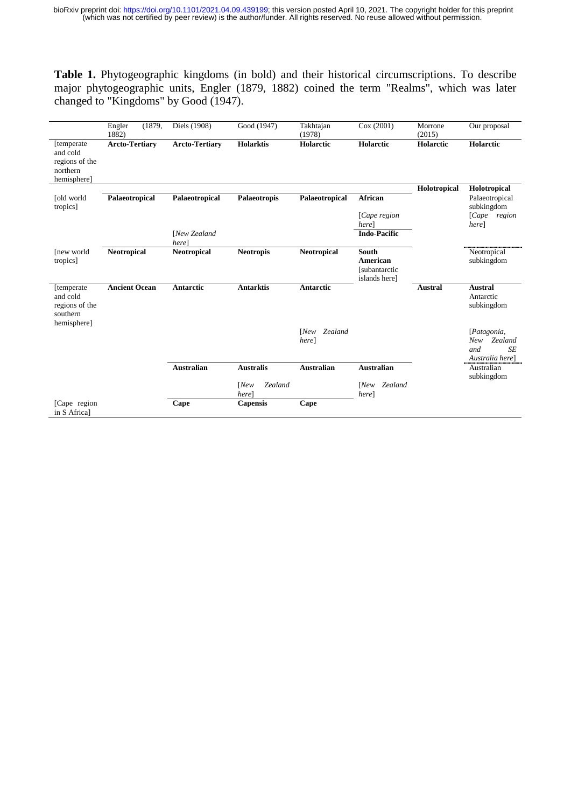**Table 1.** Phytogeographic kingdoms (in bold) and their historical circumscriptions. To describe major phytogeographic units, Engler (1879, 1882) coined the term "Realms", which was later changed to "Kingdoms" by Good (1947).

|                                                                     | Engler<br>1882)       | (1879, | Diels (1908)                | Good (1947)              | Takhtajan<br>(1978)   | Cox(2001)                                                   | Morrone<br>(2015) | Our proposal                                                  |
|---------------------------------------------------------------------|-----------------------|--------|-----------------------------|--------------------------|-----------------------|-------------------------------------------------------------|-------------------|---------------------------------------------------------------|
| [temperate<br>and cold<br>regions of the<br>northern<br>hemisphere] | <b>Arcto-Tertiary</b> |        | <b>Arcto-Tertiary</b>       | <b>Holarktis</b>         | Holarctic             | Holarctic                                                   | Holarctic         | Holarctic                                                     |
|                                                                     |                       |        |                             |                          |                       |                                                             | Holotropical      | Holotropical                                                  |
| [old world<br>tropics]                                              | Palaeotropical        |        | Palaeotropical              | Palaeotropis             | Palaeotropical        | African                                                     |                   | Palaeotropical<br>subkingdom                                  |
|                                                                     |                       |        |                             |                          |                       | [Cape region<br>here                                        |                   | [Cape<br>region<br>here]                                      |
|                                                                     |                       |        | <b>INew Zealand</b><br>here |                          |                       | <b>Indo-Pacific</b>                                         |                   |                                                               |
| [new world<br>tropics]                                              | <b>Neotropical</b>    |        | <b>Neotropical</b>          | <b>Neotropis</b>         | <b>Neotropical</b>    | South<br><b>American</b><br>[subantarctic]<br>islands here] |                   | Neotropical<br>subkingdom                                     |
| [temperate<br>and cold<br>regions of the<br>southern                | <b>Ancient Ocean</b>  |        | Antarctic                   | <b>Antarktis</b>         | <b>Antarctic</b>      |                                                             | <b>Austral</b>    | <b>Austral</b><br>Antarctic<br>subkingdom                     |
| hemisphere]                                                         |                       |        |                             |                          | [New Zealand<br>here] |                                                             |                   | [Patagonia,<br>Zealand<br>New<br>SE<br>and<br>Australia here] |
|                                                                     |                       |        | <b>Australian</b>           | <b>Australis</b>         | <b>Australian</b>     | <b>Australian</b>                                           |                   | Australian<br>subkingdom                                      |
|                                                                     |                       |        |                             | Zealand<br>[New]<br>here |                       | Zealand<br>[New]<br>herel                                   |                   |                                                               |
| [Cape region<br>in S Africal                                        |                       |        | Cape                        | <b>Capensis</b>          | Cape                  |                                                             |                   |                                                               |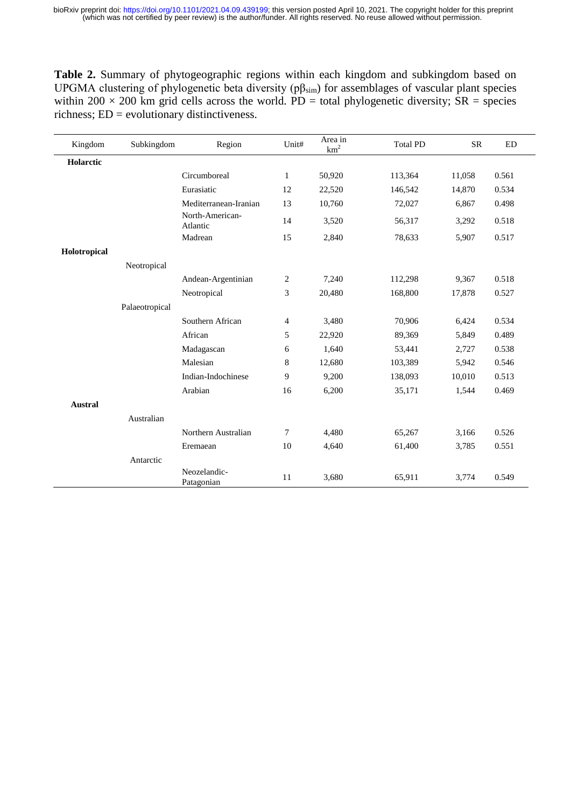**Table 2.** Summary of phytogeographic regions within each kingdom and subkingdom based on UPGMA clustering of phylogenetic beta diversity (pβsim) for assemblages of vascular plant species within 200  $\times$  200 km grid cells across the world. PD = total phylogenetic diversity;  $\overline{SR}$  = species richness; ED = evolutionary distinctiveness.

| Kingdom        | Subkingdom     | Region                      | Unit#            | Area in<br>km <sup>2</sup> | <b>Total PD</b> | <b>SR</b> | ED    |
|----------------|----------------|-----------------------------|------------------|----------------------------|-----------------|-----------|-------|
| Holarctic      |                |                             |                  |                            |                 |           |       |
|                |                | Circumboreal                | $\mathbf{1}$     | 50,920                     | 113,364         | 11,058    | 0.561 |
|                |                | Eurasiatic                  | 12               | 22,520                     | 146,542         | 14,870    | 0.534 |
|                |                | Mediterranean-Iranian       | 13               | 10,760                     | 72,027          | 6,867     | 0.498 |
|                |                | North-American-<br>Atlantic | 14               | 3,520                      | 56,317          | 3,292     | 0.518 |
|                |                | Madrean                     | 15               | 2,840                      | 78,633          | 5,907     | 0.517 |
| Holotropical   |                |                             |                  |                            |                 |           |       |
|                | Neotropical    |                             |                  |                            |                 |           |       |
|                |                | Andean-Argentinian          | $\boldsymbol{2}$ | 7,240                      | 112,298         | 9,367     | 0.518 |
|                |                | Neotropical                 | 3                | 20,480                     | 168,800         | 17,878    | 0.527 |
|                | Palaeotropical |                             |                  |                            |                 |           |       |
|                |                | Southern African            | $\overline{4}$   | 3,480                      | 70,906          | 6,424     | 0.534 |
|                |                | African                     | 5                | 22,920                     | 89,369          | 5,849     | 0.489 |
|                |                | Madagascan                  | 6                | 1,640                      | 53,441          | 2,727     | 0.538 |
|                |                | Malesian                    | 8                | 12,680                     | 103,389         | 5,942     | 0.546 |
|                |                | Indian-Indochinese          | 9                | 9,200                      | 138,093         | 10,010    | 0.513 |
|                |                | Arabian                     | 16               | 6,200                      | 35,171          | 1,544     | 0.469 |
| <b>Austral</b> |                |                             |                  |                            |                 |           |       |
|                | Australian     |                             |                  |                            |                 |           |       |
|                |                | Northern Australian         | $\overline{7}$   | 4,480                      | 65,267          | 3,166     | 0.526 |
|                |                | Eremaean                    | 10               | 4,640                      | 61,400          | 3,785     | 0.551 |
|                | Antarctic      |                             |                  |                            |                 |           |       |
|                |                | Neozelandic-<br>Patagonian  | 11               | 3,680                      | 65,911          | 3,774     | 0.549 |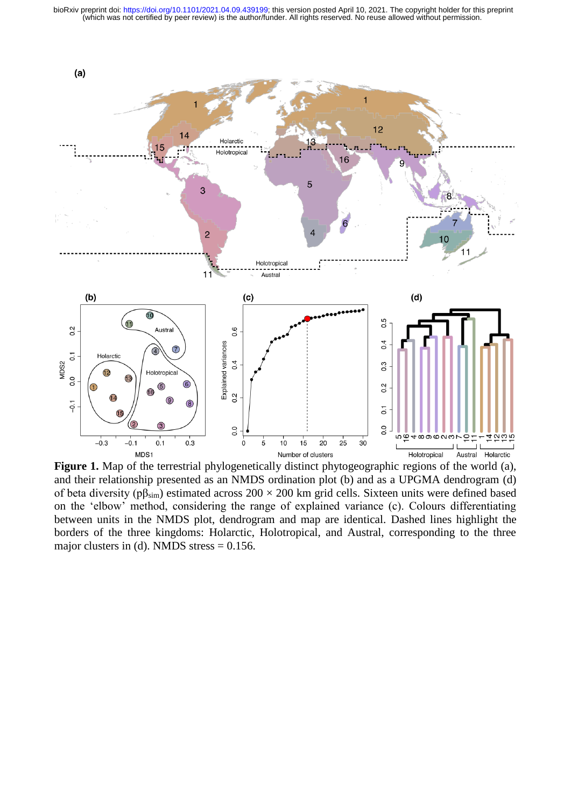

**Figure 1.** Map of the terrestrial phylogenetically distinct phytogeographic regions of the world (a), and their relationship presented as an NMDS ordination plot (b) and as a UPGMA dendrogram (d) of beta diversity ( $p\beta_{sim}$ ) estimated across 200 × 200 km grid cells. Sixteen units were defined based on the 'elbow' method, considering the range of explained variance (c). Colours differentiating between units in the NMDS plot, dendrogram and map are identical. Dashed lines highlight the borders of the three kingdoms: Holarctic, Holotropical, and Austral, corresponding to the three major clusters in (d). NMDS stress  $= 0.156$ .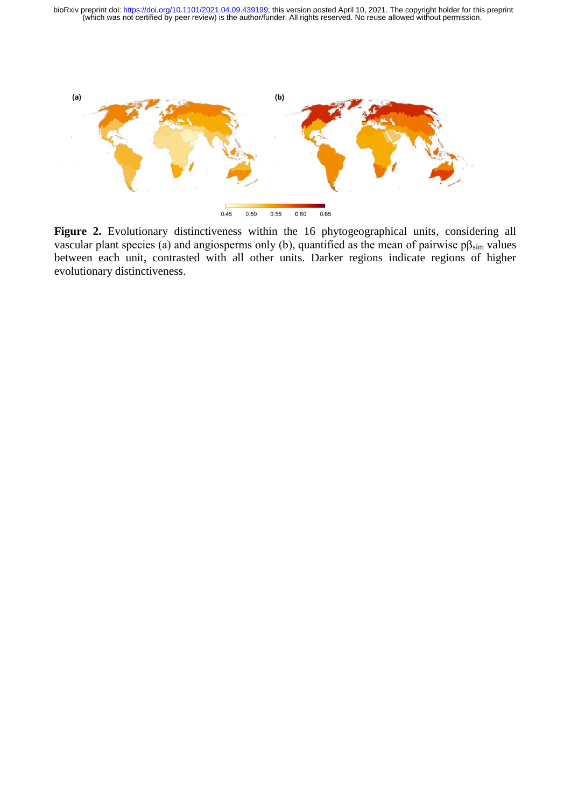

Figure 2. Evolutionary distinctiveness within the 16 phytogeographical units, considering all vascular plant species (a) and angiosperms only (b), quantified as the mean of pairwise  $p\beta_{sim}$  values between each unit, contrasted with all other units. Darker regions indicate regions of higher evolutionary distinctiveness.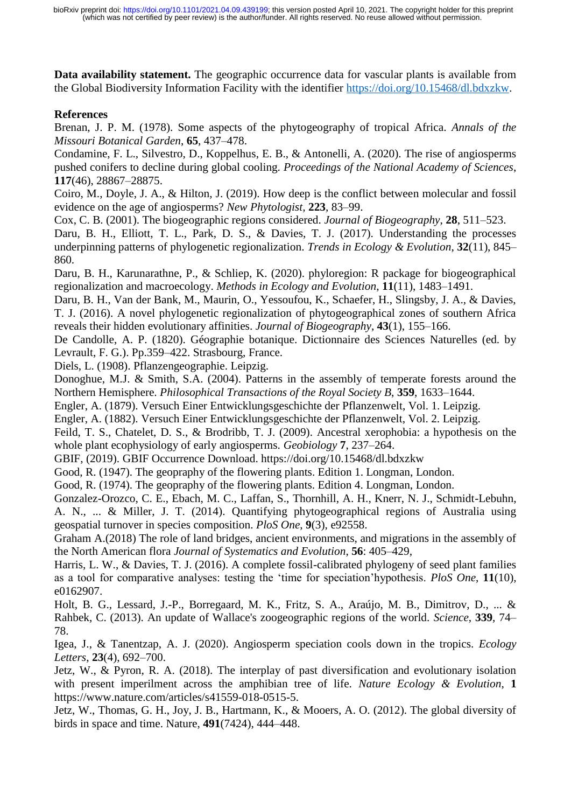**Data availability statement.** The geographic occurrence data for vascular plants is available from the Global Biodiversity Information Facility with the identifier [https://doi.org/10.15468/dl.bdxzkw.](https://doi.org/10.15468/dl.bdxzkw)

# **References**

Brenan, J. P. M. (1978). Some aspects of the phytogeography of tropical Africa. *Annals of the Missouri Botanical Garden*, **65**, 437–478.

Condamine, F. L., Silvestro, D., Koppelhus, E. B., & Antonelli, A. (2020). The rise of angiosperms pushed conifers to decline during global cooling. *Proceedings of the National Academy of Sciences*, **117**(46), 28867–28875.

Coiro, M., Doyle, J. A., & Hilton, J. (2019). How deep is the conflict between molecular and fossil evidence on the age of angiosperms? *New Phytologist,* **223**, 83–99.

Cox, C. B. (2001). The biogeographic regions considered. *Journal of Biogeography*, **28**, 511–523.

Daru, B. H., Elliott, T. L., Park, D. S., & Davies, T. J. (2017). Understanding the processes underpinning patterns of phylogenetic regionalization. *Trends in Ecology & Evolution*, **32**(11), 845– 860.

Daru, B. H., Karunarathne, P., & Schliep, K. (2020). phyloregion: R package for biogeographical regionalization and macroecology. *Methods in Ecology and Evolution*, **11**(11), 1483–1491.

Daru, B. H., Van der Bank, M., Maurin, O., Yessoufou, K., Schaefer, H., Slingsby, J. A., & Davies, T. J. (2016). A novel phylogenetic regionalization of phytogeographical zones of southern Africa reveals their hidden evolutionary affinities. *Journal of Biogeography*, **43**(1), 155–166.

De Candolle, A. P. (1820). Géographie botanique. Dictionnaire des Sciences Naturelles (ed. by Levrault, F. G.). Pp.359–422. Strasbourg, France.

Diels, L. (1908). Pflanzengeographie. Leipzig.

Donoghue, M.J. & Smith, S.A. (2004). Patterns in the assembly of temperate forests around the Northern Hemisphere. *Philosophical Transactions of the Royal Society B*, **359**, 1633–1644.

Engler, A. (1879). Versuch Einer Entwicklungsgeschichte der Pflanzenwelt, Vol. 1. Leipzig.

Engler, A. (1882). Versuch Einer Entwicklungsgeschichte der Pflanzenwelt, Vol. 2. Leipzig.

Feild, T. S., Chatelet, D. S., & Brodribb, T. J. (2009). Ancestral xerophobia: a hypothesis on the whole plant ecophysiology of early angiosperms. *Geobiology* **7**, 237–264.

GBIF, (2019). GBIF Occurrence Download. https://doi.org/10.15468/dl.bdxzkw

Good, R. (1947). The geopraphy of the flowering plants. Edition 1. Longman, London.

Good, R. (1974). The geopraphy of the flowering plants. Edition 4. Longman, London.

Gonzalez-Orozco, C. E., Ebach, M. C., Laffan, S., Thornhill, A. H., Knerr, N. J., Schmidt-Lebuhn, A. N., ... & Miller, J. T. (2014). Quantifying phytogeographical regions of Australia using geospatial turnover in species composition. *PloS One*, **9**(3), e92558.

Graham A.(2018) The role of land bridges, ancient environments, and migrations in the assembly of the North American flora *Journal of Systematics and Evolution*, **56**: 405–429,

Harris, L. W., & Davies, T. J. (2016). A complete fossil-calibrated phylogeny of seed plant families as a tool for comparative analyses: testing the 'time for speciation'hypothesis. *PloS One*, **11**(10), e0162907.

Holt, B. G., Lessard, J.-P., Borregaard, M. K., Fritz, S. A., Araújo, M. B., Dimitrov, D., ... & Rahbek, C. (2013). An update of Wallace's zoogeographic regions of the world. *Science*, **339**, 74– 78.

Igea, J., & Tanentzap, A. J. (2020). Angiosperm speciation cools down in the tropics. *Ecology Letters*, **23**(4), 692–700.

Jetz, W., & Pyron, R. A. (2018). The interplay of past diversification and evolutionary isolation with present imperilment across the amphibian tree of life. *Nature Ecology & Evolution*, **1** https://www.nature.com/articles/s41559-018-0515-5.

Jetz, W., Thomas, G. H., Joy, J. B., Hartmann, K., & Mooers, A. O. (2012). The global diversity of birds in space and time. Nature, **491**(7424), 444–448.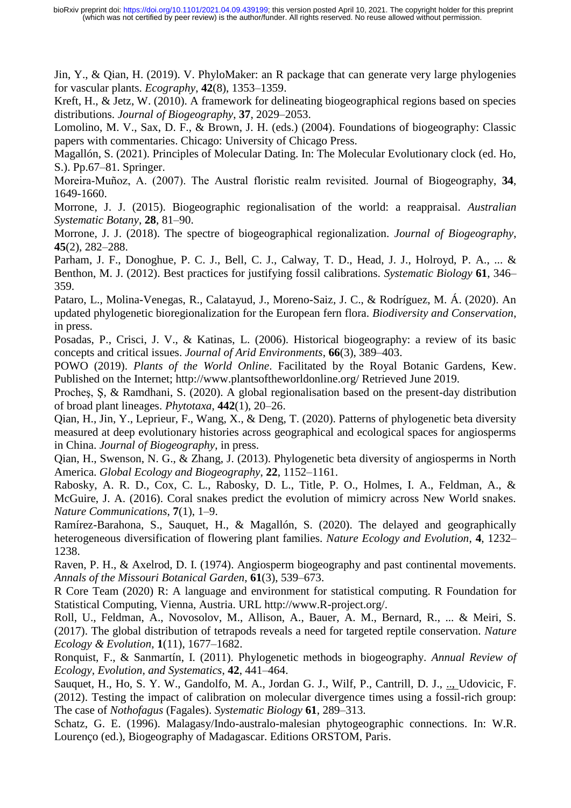Jin, Y., & Qian, H. (2019). V. PhyloMaker: an R package that can generate very large phylogenies for vascular plants. *Ecography*, **42**(8), 1353–1359.

Kreft, H., & Jetz, W. (2010). A framework for delineating biogeographical regions based on species distributions. *Journal of Biogeography*, **37**, 2029–2053.

Lomolino, M. V., Sax, D. F., & Brown, J. H. (eds.) (2004). Foundations of biogeography: Classic papers with commentaries. Chicago: University of Chicago Press.

Magallón, S. (2021). Principles of Molecular Dating. In: The Molecular Evolutionary clock (ed. Ho, S.). Pp.67–81. Springer.

Moreira‐Muñoz, A. (2007). The Austral floristic realm revisited. Journal of Biogeography, **34**, 1649-1660.

Morrone, J. J. (2015). Biogeographic regionalisation of the world: a reappraisal. *Australian Systematic Botany*, **28**, 81–90.

Morrone, J. J. (2018). The spectre of biogeographical regionalization. *Journal of Biogeography*, **45**(2), 282–288.

Parham, J. F., Donoghue, P. C. J., Bell, C. J., Calway, T. D., Head, J. J., Holroyd, P. A., ... & Benthon, M. J. (2012). Best practices for justifying fossil calibrations. *Systematic Biology* **61**, 346– 359.

Pataro, L., Molina-Venegas, R., Calatayud, J., Moreno-Saiz, J. C., & Rodríguez, M. Á. (2020). An updated phylogenetic bioregionalization for the European fern flora. *Biodiversity and Conservation*, in press.

Posadas, P., Crisci, J. V., & Katinas, L. (2006). Historical biogeography: a review of its basic concepts and critical issues. *Journal of Arid Environments*, **66**(3), 389–403.

POWO (2019). *Plants of the World Online*. Facilitated by the Royal Botanic Gardens, Kew. Published on the Internet; http://www.plantsoftheworldonline.org/ Retrieved June 2019.

Procheş, Ş, & Ramdhani, S. (2020). A global regionalisation based on the present-day distribution of broad plant lineages. *Phytotaxa*, **442**(1), 20–26.

Qian, H., Jin, Y., Leprieur, F., Wang, X., & Deng, T. (2020). Patterns of phylogenetic beta diversity measured at deep evolutionary histories across geographical and ecological spaces for angiosperms in China. *Journal of Biogeography*, in press.

Qian, H., Swenson, N. G., & Zhang, J. (2013). Phylogenetic beta diversity of angiosperms in North America. *Global Ecology and Biogeography*, **22**, 1152–1161.

Rabosky, A. R. D., Cox, C. L., Rabosky, D. L., Title, P. O., Holmes, I. A., Feldman, A., & McGuire, J. A. (2016). Coral snakes predict the evolution of mimicry across New World snakes. *Nature Communications*, **7**(1), 1–9.

Ramírez-Barahona, S., Sauquet, H., & Magallón, S. (2020). The delayed and geographically heterogeneous diversification of flowering plant families. *Nature Ecology and Evolution*, **4**, 1232– 1238.

Raven, P. H., & Axelrod, D. I. (1974). Angiosperm biogeography and past continental movements. *Annals of the Missouri Botanical Garden*, **61**(3), 539–673.

R Core Team (2020) R: A language and environment for statistical computing. R Foundation for Statistical Computing, Vienna, Austria. URL http://www.R-project.org/.

Roll, U., Feldman, A., Novosolov, M., Allison, A., Bauer, A. M., Bernard, R., ... & Meiri, S. (2017). The global distribution of tetrapods reveals a need for targeted reptile conservation. *Nature Ecology & Evolution*, **1**(11), 1677–1682.

Ronquist, F., & Sanmartín, I. (2011). Phylogenetic methods in biogeography. *Annual Review of Ecology, Evolution, and Systematics*, **42**, 441–464.

Sauquet, H., Ho, S. Y. W., Gandolfo, M. A., Jordan G. J., Wilf, P., Cantrill, D. J., ... Udovicic, F. (2012). Testing the impact of calibration on molecular divergence times using a fossil-rich group: The case of *Nothofagus* (Fagales). *Systematic Biology* **61**, 289–313.

Schatz, G. E. (1996). Malagasy/Indo-australo-malesian phytogeographic connections. In: W.R. Lourenço (ed.), Biogeography of Madagascar. Editions ORSTOM, Paris.